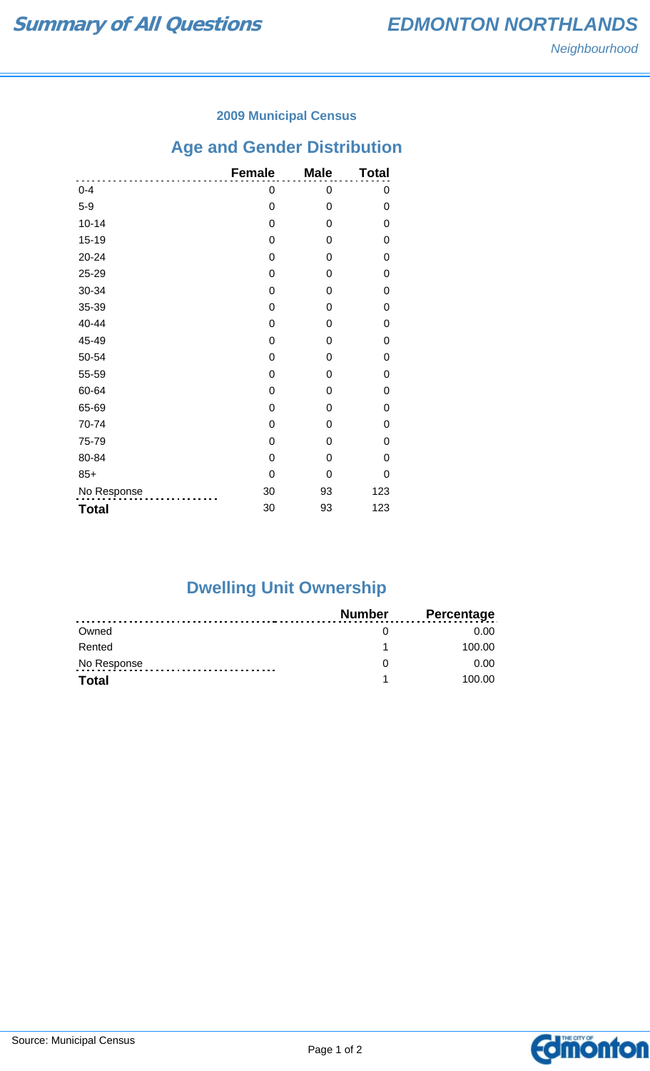#### **2009 Municipal Census**

## **Age and Gender Distribution**

|              | <b>Female</b>  | <b>Male</b> | <b>Total</b> |
|--------------|----------------|-------------|--------------|
| $0 - 4$      | 0              | 0           | 0            |
| $5-9$        | 0              | 0           | 0            |
| $10 - 14$    | 0              | 0           | 0            |
| $15 - 19$    | 0              | 0           | 0            |
| $20 - 24$    | 0              | 0           | 0            |
| 25-29        | 0              | 0           | 0            |
| 30-34        | 0              | 0           | 0            |
| 35-39        | 0              | $\Omega$    | 0            |
| 40-44        | 0              | 0           | 0            |
| 45-49        | 0              | 0           | 0            |
| 50-54        | $\overline{0}$ | 0           | 0            |
| 55-59        | 0              | $\Omega$    | 0            |
| 60-64        | 0              | 0           | 0            |
| 65-69        | 0              | 0           | 0            |
| 70-74        | 0              | 0           | 0            |
| 75-79        | 0              | 0           | 0            |
| 80-84        | $\overline{0}$ | $\Omega$    | 0            |
| $85+$        | 0              | 0           | 0            |
| No Response  | 30             | 93          | 123          |
| <b>Total</b> | 30             | 93          | 123          |

# **Dwelling Unit Ownership**

|              | <b>Number</b> | <b>Percentage</b> |
|--------------|---------------|-------------------|
| Owned        |               | 0.00              |
| Rented       |               | 100.00            |
| No Response  |               | 0.00              |
| <b>Total</b> |               | 100.00            |